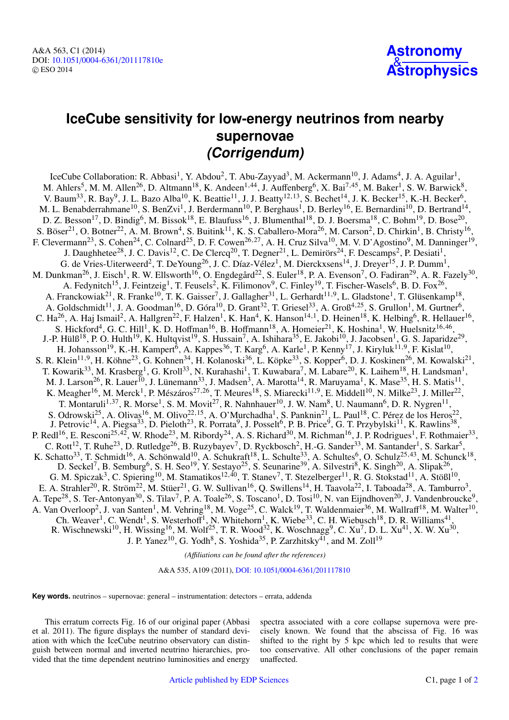## **IceCube sensitivity for low-energy neutrinos from nearby supernovae (Corrigendum)**

IceCube Collaboration: R. Abbasi<sup>1</sup>, Y. Abdou<sup>2</sup>, T. Abu-Zayyad<sup>3</sup>, M. Ackermann<sup>10</sup>, J. Adams<sup>4</sup>, J. A. Aguilar<sup>1</sup>, M. Ahlers<sup>5</sup>, M. M. Allen<sup>26</sup>, D. Altmann<sup>18</sup>, K. Andeen<sup>1,44</sup>, J. Auffenberg<sup>6</sup>, X. Bai<sup>7,45</sup>, M. Baker<sup>1</sup>, S. W. Barwick<sup>8</sup>, V. Baum<sup>33</sup>, R. Bay<sup>9</sup>, J. L. Bazo Alba<sup>10</sup>, K. Beattie<sup>11</sup>, J. J. Beatty<sup>12,13</sup>, S. Bechet<sup>14</sup>, J. K. Becker<sup>15</sup>, K.-H. Becker<sup>6</sup>, M. L. Benabderrahmane<sup>10</sup>, S. BenZvi<sup>1</sup>, J. Berdermann<sup>10</sup>, P. Berghaus<sup>1</sup>, D. Berley<sup>16</sup>, E. Bernardini<sup>10</sup>, D. Bertrand<sup>14</sup>, D. Z. Besson<sup>17</sup>, D. Bindig<sup>6</sup>, M. Bissok<sup>18</sup>, E. Blaufuss<sup>16</sup>, J. Blumenthal<sup>18</sup>, D. J. Boersma<sup>18</sup>, C. Bohm<sup>19</sup>, D. Bose<sup>20</sup>, S. Böser<sup>21</sup>, O. Botner<sup>22</sup>, A. M. Brown<sup>4</sup>, S. Buitink<sup>11</sup>, K. S. Caballero-Mora<sup>26</sup>, M. Carson<sup>2</sup>, D. Chirkin<sup>1</sup>, B. Christy<sup>16</sup>, F. Clevermann<sup>23</sup>, S. Cohen<sup>24</sup>, C. Colnard<sup>25</sup>, D. F. Cowen<sup>26,27</sup>, A. H. Cruz Silva<sup>10</sup>, M. V. D'Agostino<sup>9</sup>, M. Danninger<sup>19</sup>, J. Daughhetee<sup>28</sup>, J. C. Davis<sup>12</sup>, C. De Clercq<sup>20</sup>, T. Degner<sup>21</sup>, L. Demirörs<sup>24</sup>, F. Descamps<sup>2</sup>, P. Desiati<sup>1</sup>, G. de Vries-Uiterweerd<sup>2</sup>, T. De Young<sup>26</sup>, J. C. Díaz-Vélez<sup>1</sup>, M. Dierckxsens<sup>14</sup>, J. Dreyer<sup>15</sup>, J. P. Dumm<sup>1</sup>, M. Dunkman<sup>26</sup>, J. Eisch<sup>1</sup>, R. W. Ellsworth<sup>16</sup>, O. Engdegård<sup>22</sup>, S. Euler<sup>18</sup>, P. A. Evenson<sup>7</sup>, O. Fadiran<sup>29</sup>, A. R. Fazely<sup>30</sup>, A. Fedynitch<sup>15</sup>, J. Feintzeig<sup>1</sup>, T. Feusels<sup>2</sup>, K. Filimonov<sup>9</sup>, C. Finley<sup>19</sup>, T. Fischer-Wasels<sup>6</sup>, B. D. Fox<sup>26</sup>, A. Franckowiak<sup>21</sup>, R. Franke<sup>10</sup>, T. K. Gaisser<sup>7</sup>, J. Gallagher<sup>31</sup>, L. Gerhardt<sup>11,9</sup>, L. Gladstone<sup>1</sup>, T. Glüsenkamp<sup>18</sup>, A. Goldschmidt<sup>11</sup>, J. A. Goodman<sup>16</sup>, D. Góra<sup>10</sup>, D. Grant<sup>32</sup>, T. Griesel<sup>33</sup>, A. Groß<sup>4,25</sup>, S. Grullon<sup>1</sup>, M. Gurtner<sup>6</sup>, C. Ha<sup>26</sup>, A. Haj Ismail<sup>2</sup>, A. Hallgren<sup>22</sup>, F. Halzen<sup>1</sup>, K. Han<sup>4</sup>, K. Hanson<sup>14,1</sup>, D. Heinen<sup>18</sup>, K. Helbing<sup>6</sup>, R. Hellauer<sup>16</sup>, S. Hickford<sup>4</sup>, G. C. Hill<sup>1</sup>, K. D. Hoffman<sup>16</sup>, B. Hoffmann<sup>18</sup>, A. Homeier<sup>21</sup>, K. Hoshina<sup>1</sup>, W. Huelsnitz<sup>16,46</sup>, J.-P. Hülß<sup>18</sup>, P. O. Hulth<sup>19</sup>, K. Hultqvist<sup>19</sup>, S. Hussain<sup>7</sup>, A. Ishihara<sup>35</sup>, E. Jakobi<sup>10</sup>, J. Jacobsen<sup>1</sup>, G. S. Japaridze<sup>29</sup>, H. Johansson<sup>19</sup>, K.-H. Kampert<sup>6</sup>, A. Kappes<sup>36</sup>, T. Karg<sup>6</sup>, A. Karle<sup>1</sup>, P. Kenny<sup>17</sup>, J. Kiryluk<sup>11,9</sup>, F. Kislat<sup>10</sup>, S. R. Klein<sup>11,9</sup>, H. Köhne<sup>23</sup>, G. Kohnen<sup>34</sup>, H. Kolanoski<sup>36</sup>, L. Köpke<sup>33</sup>, S. Kopper<sup>6</sup>, D. J. Koskinen<sup>26</sup>, M. Kowalski<sup>21</sup>, T. Kowarik<sup>33</sup>, M. Krasberg<sup>1</sup>, G. Kroll<sup>33</sup>, N. Kurahashi<sup>1</sup>, T. Kuwabara<sup>7</sup>, M. Labare<sup>20</sup>, K. Laihem<sup>18</sup>, H. Landsman<sup>1</sup>, M. J. Larson<sup>26</sup>, R. Lauer<sup>10</sup>, J. Lünemann<sup>33</sup>, J. Madsen<sup>3</sup>, A. Marotta<sup>14</sup>, R. Maruyama<sup>1</sup>, K. Mase<sup>35</sup>, H. S. Matis<sup>11</sup>, K. Meagher<sup>16</sup>, M. Merck<sup>1</sup>, P. Mészáros<sup>27,26</sup>, T. Meures<sup>18</sup>, S. Miarecki<sup>11,9</sup>, E. Middell<sup>10</sup>, N. Milke<sup>23</sup>, J. Miller<sup>22</sup>, T. Montaruli<sup>1,37</sup>, R. Morse<sup>1</sup>, S. M. Movit<sup>27</sup>, R. Nahnhauer<sup>10</sup>, J. W. Nam<sup>8</sup>, U. Naumann<sup>6</sup>, D. R. Nygren<sup>11</sup>, S. Odrowski<sup>25</sup>, A. Olivas<sup>16</sup>, M. Olivo<sup>22, 15</sup>, A. O'Murchadha<sup>1</sup>, S. Panknin<sup>21</sup>, L. Paul<sup>18</sup>, C. Pérez de los Heros<sup>22</sup>, J. Petrovic<sup>14</sup>, A. Piegsa<sup>33</sup>, D. Pieloth<sup>23</sup>, R. Porrata<sup>9</sup>, J. Posselt<sup>6</sup>, P. B. Price<sup>9</sup>, G. T. Przybylski<sup>11</sup>, K. Rawlins<sup>38</sup>, P. Redl<sup>16</sup>, E. Resconi<sup>25,42</sup>, W. Rhode<sup>23</sup>, M. Ribordy<sup>24</sup>, A. S. Richard<sup>30</sup>, M. Richman<sup>16</sup>, J. P. Rodrigues<sup>1</sup>, F. Rothmaier<sup>33</sup>, C. Rott<sup>12</sup>, T. Ruhe<sup>23</sup>, D. Rutledge<sup>26</sup>, B. Ruzybayev<sup>7</sup>, D. Ryckbosch<sup>2</sup>, H.-G. Sander<sup>33</sup>, M. Santander<sup>1</sup>, S. Sarkar<sup>5</sup>, K. Schatto<sup>33</sup>, T. Schmidt<sup>16</sup>, A. Schönwald<sup>10</sup>, A. Schukraft<sup>18</sup>, L. Schulte<sup>33</sup>, A. Schultes<sup>6</sup>, O. Schulz<sup>25,43</sup>, M. Schunck<sup>18</sup>, D. Seckel<sup>7</sup>, B. Semburg<sup>6</sup>, S. H. Seo<sup>19</sup>, Y. Sestayo<sup>25</sup>, S. Seunarine<sup>39</sup>, A. Silvestri<sup>8</sup>, K. Singh<sup>20</sup>, A. Slipak<sup>26</sup>, G. M. Spiczak<sup>3</sup>, C. Spiering<sup>10</sup>, M. Stamatikos<sup>12,40</sup>, T. Stanev<sup>7</sup>, T. Stezelberger<sup>11</sup>, R. G. Stokstad<sup>11</sup>, A. Stößl<sup>10</sup>, E. A. Strahler<sup>20</sup>, R. Ström<sup>22</sup>, M. Stüer<sup>21</sup>, G. W. Sullivan<sup>16</sup>, Q. Swillens<sup>14</sup>, H. Taavola<sup>22</sup>, I. Taboada<sup>28</sup>, A. Tamburro<sup>3</sup>, A. Tepe<sup>28</sup>, S. Ter-Antonyan<sup>30</sup>, S. Tilav<sup>7</sup>, P. A. Toale<sup>26</sup>, S. Toscano<sup>1</sup>, D. Tosi<sup>10</sup>, N. van Eijndhoven<sup>20</sup>, J. Vandenbroucke<sup>9</sup>, A. Van Overloop<sup>2</sup>, J. van Santen<sup>1</sup>, M. Vehring<sup>18</sup>, M. Voge<sup>25</sup>, C. Walck<sup>19</sup>, T. Waldenmaier<sup>36</sup>, M. Wallraff<sup>18</sup>, M. Walter<sup>10</sup>, Ch. Weaver<sup>1</sup>, C. Wendt<sup>1</sup>, S. Westerhoff<sup>1</sup>, N. Whitehorn<sup>1</sup>, K. Wiebe<sup>33</sup>, C. H. Wiebusch<sup>18</sup>, D. R. Williams<sup>41</sup>, R. Wischnewski<sup>10</sup>, H. Wissing<sup>16</sup>, M. Wolf<sup>25</sup>, T. R. Wood<sup>32</sup>, K. Woschnagg<sup>9</sup>, C. Xu<sup>7</sup>, D. L. Xu<sup>41</sup>, X. W. Xu<sup>30</sup>, J. P. Yane $z^{10}$ , G. Yodh<sup>8</sup>, S. Yoshida<sup>35</sup>, P. Zarzhitsky<sup>41</sup>, and M. Zoll<sup>19</sup>

*(A*ffi*liations can be found after the references)*

A&A 535, A109 (2011), [DOI: 10.1051](http://dx.doi.org/10.1051/0004-6361/201117810)/0004-6361/201117810

**Key words.** neutrinos – supernovae: general – instrumentation: detectors – errata, addenda

This erratum corrects Fig. 16 of our original paper (Abbasi et al. 2011). The figure displays the number of standard deviation with which the IceCube neutrino observatory can distinguish between normal and inverted neutrino hierarchies, provided that the time dependent neutrino luminosities and energy

spectra associated with a core collapse supernova were precisely known. We found that the abscissa of Fig. 16 was shifted to the right by 5 kpc which led to results that were too conservative. All other conclusions of the paper remain unaffected.